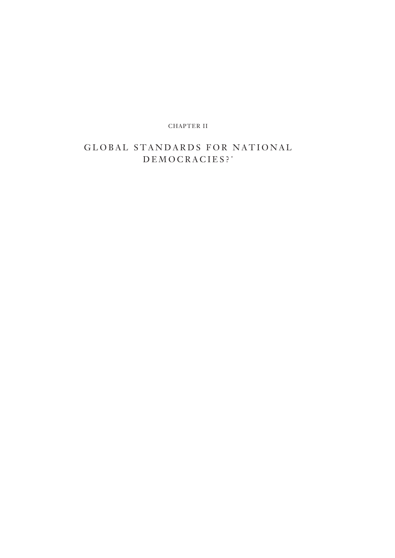CHAPTER II

# GLOBAL STANDARDS FOR NATIONAL DEMOCRACIES? \*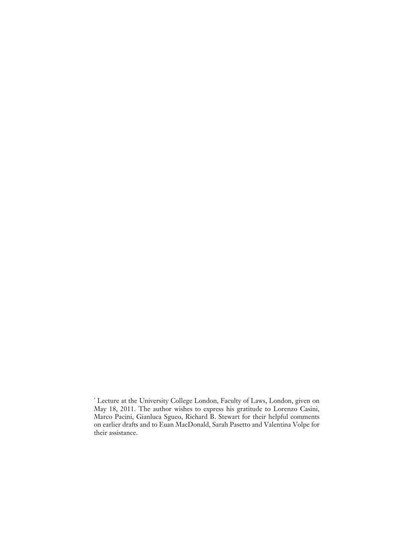<sup>\*</sup> Lecture at the University College London, Faculty of Laws, London, given on May 18, 2011. The author wishes to express his gratitude to Lorenzo Casini, Marco Pacini, Gianluca Sgueo, Richard B. Stewart for their helpful comments on earlier drafts and to Euan MacDonald, Sarah Pasetto and Valentina Volpe for their assistance.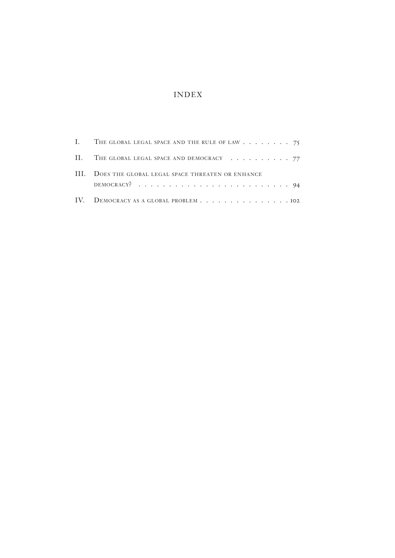# INDEX

| I. THE GLOBAL LEGAL SPACE AND THE RULE OF LAW 75     |
|------------------------------------------------------|
| II. THE GLOBAL LEGAL SPACE AND DEMOCRACY 77          |
| III. DOES THE GLOBAL LEGAL SPACE THREATEN OR ENHANCE |
| IV. DEMOCRACY AS A GLOBAL PROBLEM 102                |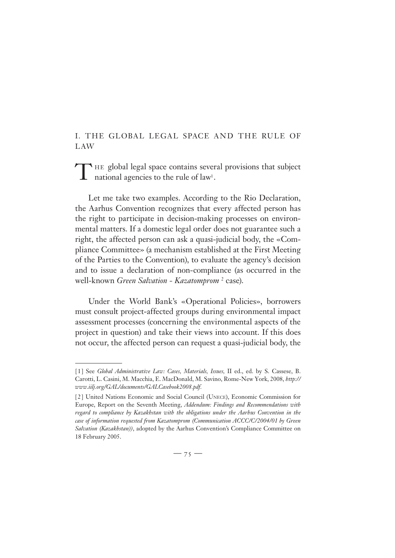## I. THE GLOBAL LEGAL SPACE AND THE RULE OF LAW

THE global legal space contains several provisions that subject national agencies to the rule of law<sup>1</sup>.

Let me take two examples. According to the Rio Declaration, the Aarhus Convention recognizes that every affected person has the right to participate in decision-making processes on environmental matters. If a domestic legal order does not guarantee such a right, the affected person can ask a quasi-judicial body, the «Compliance Committee» (a mechanism established at the First Meeting of the Parties to the Convention), to evaluate the agency's decision and to issue a declaration of non-compliance (as occurred in the well-known *Green Salvation - Kazatomprom*<sup>2</sup> case).

Under the World Bank's «Operational Policies», borrowers must consult project-affected groups during environmental impact assessment processes (concerning the environmental aspects of the project in question) and take their views into account. If this does not occur, the affected person can request a quasi-judicial body, the

<sup>[ 1 ]</sup> See *Global Administrative Law: Cases, Materials, Issues,* II ed., ed. by S. Cassese, B. Carotti, L. Casini, M. Macchia, E. MacDonald, M. Savino, Rome-New York, 2008, *http:// www.iilj.org/GAL/documents/GALCasebook2008.pdf.*

<sup>[2]</sup> United Nations Economic and Social Council (UNECE), Economic Commission for Europe, Report on the Seventh Meeting, *Addendum: Findings and Recommendations with regard to compliance by Kazakhstan with the obligations under the Aarhus Convention in the case of information requested from Kazatomprom (Communication ACCC/C/2004/01 by Green Salvation (Kazakhstan))*, adopted by the Aarhus Convention's Compliance Committee on 18 February 2005.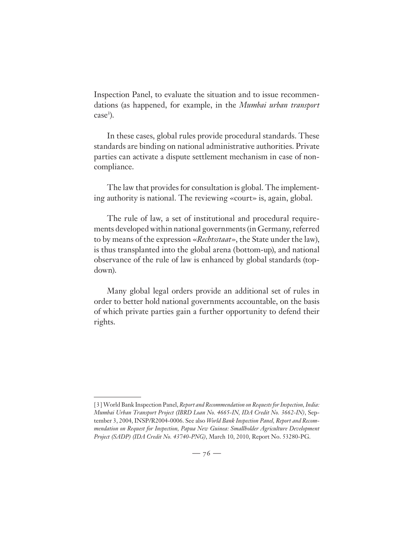Inspection Panel, to evaluate the situation and to issue recommendations (as happened, for example, in the *Mumbai urban transport* case<sup>3</sup>).

In these cases, global rules provide procedural standards. These standards are binding on national administrative authorities. Private parties can activate a dispute settlement mechanism in case of noncompliance.

The law that provides for consultation is global. The implementing authority is national. The reviewing «court» is, again, global.

The rule of law, a set of institutional and procedural requirements developed within national governments (in Germany, referred to by means of the expression «*Rechtsstaat*», the State under the law), is thus transplanted into the global arena (bottom-up), and national observance of the rule of law is enhanced by global standards (topdown).

Many global legal orders provide an additional set of rules in order to better hold national governments accountable, on the basis of which private parties gain a further opportunity to defend their rights.

<sup>[ 3 ]</sup> World Bank Inspection Panel, *Report and Recommendation on Requests for Inspection, India: Mumbai Urban Transport Project (IBRD Loan No. 4665-IN, IDA Credit No. 3662-IN)*, September 3, 2004, INSP/R2004-0006. See also *World Bank Inspection Panel, Report and Recommendation on Request for Inspection, Papua New Guinea: Smallholder Agriculture Development Project (SADP) (IDA Credit No. 43740-PNG)*, March 10, 2010, Report No. 53280-PG.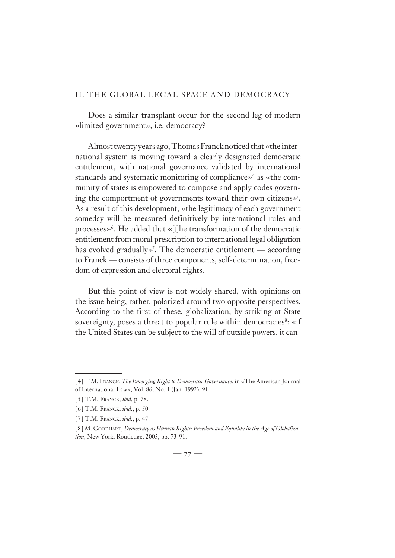#### II. THE GLOBAL LEGAL SPACE AND DEMOCRACY

Does a similar transplant occur for the second leg of modern «limited government», i.e. democracy?

Almost twenty years ago, Thomas Franck noticed that «the international system is moving toward a clearly designated democratic entitlement, with national governance validated by international standards and systematic monitoring of compliance»4 as «the community of states is empowered to compose and apply codes governing the comportment of governments toward their own citizens»<sup>5</sup>. As a result of this development, «the legitimacy of each government someday will be measured definitively by international rules and processes»6 . He added that «[t]he transformation of the democratic entitlement from moral prescription to international legal obligation has evolved gradually»7 . The democratic entitlement — according to Franck — consists of three components, self-determination, freedom of expression and electoral rights.

But this point of view is not widely shared, with opinions on the issue being, rather, polarized around two opposite perspectives. According to the first of these, globalization, by striking at State sovereignty, poses a threat to popular rule within democracies<sup>8</sup>: «if the United States can be subject to the will of outside powers, it can-

<sup>[ 4 ]</sup> T.M. FRANCK, *The Emerging Right to Democratic Governance*, in «The American Journal of International Law», Vol. 86, No. 1 (Jan. 1992), 91.

<sup>[ 5 ]</sup> T.M. FRANCK, *ibid*, p. 78.

<sup>[ 6 ]</sup> T.M. FRANCK, *ibid.*, p. 50.

<sup>[ 7 ]</sup> T.M. FRANCK, *ibid.*, p. 47.

<sup>[8]</sup> M. GOODHART, *Democracy as Human Rights: Freedom and Equality in the Age of Globalization*, New York, Routledge, 2005, pp. 73-91.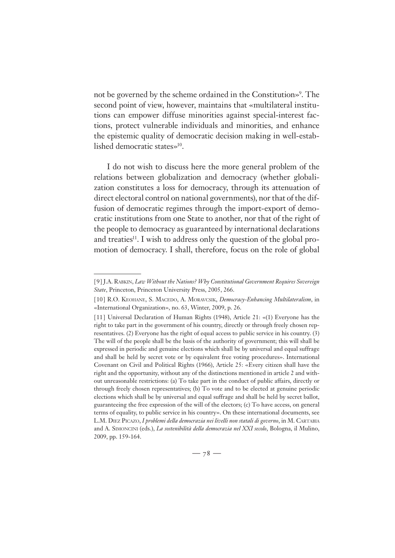not be governed by the scheme ordained in the Constitution»9 . The second point of view, however, maintains that «multilateral institutions can empower diffuse minorities against special-interest factions, protect vulnerable individuals and minorities, and enhance the epistemic quality of democratic decision making in well-established democratic states»10.

I do not wish to discuss here the more general problem of the relations between globalization and democracy (whether globalization constitutes a loss for democracy, through its attenuation of direct electoral control on national governments), nor that of the diffusion of democratic regimes through the import-export of democratic institutions from one State to another, nor that of the right of the people to democracy as guaranteed by international declarations and treaties<sup>11</sup>. I wish to address only the question of the global promotion of democracy. I shall, therefore, focus on the role of global

<sup>[ 9 ]</sup> J.A. RABKIN, *Law Without the Nations? Why Constitutional Government Requires Sovereign State*, Princeton, Princeton University Press, 2005, 266.

<sup>[ 10 ]</sup> R.O. KEOHANE, S. MACEDO, A. MORAVCSIK, *Democracy-Enhancing Multilateralism*, in «International Organization», no. 63, Winter, 2009, p. 26.

<sup>[11]</sup> Universal Declaration of Human Rights (1948), Article 21: «(1) Everyone has the right to take part in the government of his country, directly or through freely chosen representatives. (2) Everyone has the right of equal access to public service in his country. (3) The will of the people shall be the basis of the authority of government; this will shall be expressed in periodic and genuine elections which shall be by universal and equal suffrage and shall be held by secret vote or by equivalent free voting procedures». International Covenant on Civil and Political Rights (1966), Article 25: «Every citizen shall have the right and the opportunity, without any of the distinctions mentioned in article 2 and without unreasonable restrictions: (a) To take part in the conduct of public affairs, directly or through freely chosen representatives; (b) To vote and to be elected at genuine periodic elections which shall be by universal and equal suffrage and shall be held by secret ballot, guaranteeing the free expression of the will of the electors; (c) To have access, on general terms of equality, to public service in his country». On these international documents, see L.M. DIEZ PICAZO, *I problemi della democrazia nei livelli non statali di governo*, in M. CARTABIA and A. SIMONCINI (eds.), *La sostenibilità della democrazia nel XXI secolo*, Bologna, il Mulino, 2009, pp. 159-164.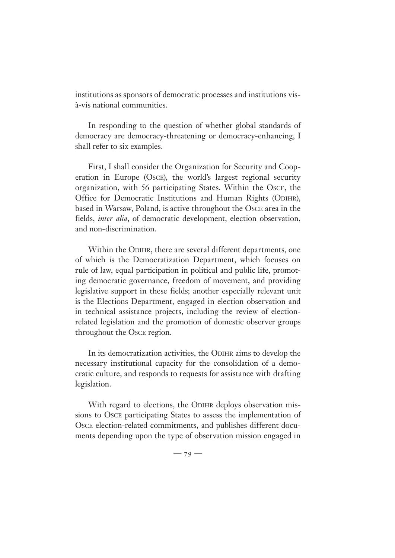institutions as sponsors of democratic processes and institutions visà-vis national communities.

In responding to the question of whether global standards of democracy are democracy-threatening or democracy-enhancing, I shall refer to six examples.

First, I shall consider the Organization for Security and Cooperation in Europe (OSCE), the world's largest regional security organization, with 56 participating States. Within the OSCE, the Office for Democratic Institutions and Human Rights (ODIHR), based in Warsaw, Poland, is active throughout the OSCE area in the fields, *inter alia*, of democratic development, election observation, and non-discrimination.

Within the ODIHR, there are several different departments, one of which is the Democratization Department, which focuses on rule of law, equal participation in political and public life, promoting democratic governance, freedom of movement, and providing legislative support in these fields; another especially relevant unit is the Elections Department, engaged in election observation and in technical assistance projects, including the review of electionrelated legislation and the promotion of domestic observer groups throughout the OSCE region.

In its democratization activities, the ODIHR aims to develop the necessary institutional capacity for the consolidation of a democratic culture, and responds to requests for assistance with drafting legislation.

With regard to elections, the ODIHR deploys observation missions to OSCE participating States to assess the implementation of OSCE election-related commitments, and publishes different documents depending upon the type of observation mission engaged in

 $-79-$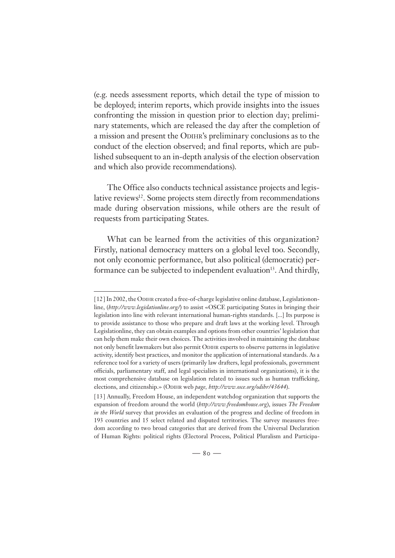(e.g. needs assessment reports, which detail the type of mission to be deployed; interim reports, which provide insights into the issues confronting the mission in question prior to election day; preliminary statements, which are released the day after the completion of a mission and present the ODIHR's preliminary conclusions as to the conduct of the election observed; and final reports, which are published subsequent to an in-depth analysis of the election observation and which also provide recommendations).

The Office also conducts technical assistance projects and legislative reviews<sup>12</sup>. Some projects stem directly from recommendations made during observation missions, while others are the result of requests from participating States.

What can be learned from the activities of this organization? Firstly, national democracy matters on a global level too. Secondly, not only economic performance, but also political (democratic) performance can be subjected to independent evaluation<sup>13</sup>. And thirdly,

<sup>[ 12 ]</sup> In 2002, the ODIHR created a free-of-charge legislative online database, Legislationonline, (*http://www.legislationline.org/*) to assist «OSCE participating States in bringing their legislation into line with relevant international human-rights standards. [...] Its purpose is to provide assistance to those who prepare and draft laws at the working level. Through Legislationline, they can obtain examples and options from other countries' legislation that can help them make their own choices. The activities involved in maintaining the database not only benefit lawmakers but also permit ODIHR experts to observe patterns in legislative activity, identify best practices, and monitor the application of international standards. As a reference tool for a variety of users (primarily law drafters, legal professionals, government officials, parliamentary staff, and legal specialists in international organizations), it is the most comprehensive database on legislation related to issues such as human trafficking, elections, and citizenship.» (ODIHR web *page, http://www.osce.org/odihr/43644*).

<sup>[13]</sup> Annually, Freedom House, an independent watchdog organization that supports the expansion of freedom around the world (*http://www.freedomhouse.org*), issues *The Freedom in the World* survey that provides an evaluation of the progress and decline of freedom in 193 countries and 15 select related and disputed territories. The survey measures freedom according to two broad categories that are derived from the Universal Declaration of Human Rights: political rights (Electoral Process, Political Pluralism and Participa-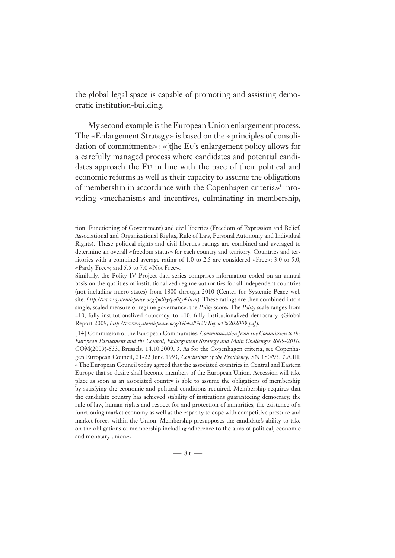the global legal space is capable of promoting and assisting democratic institution-building.

My second example is the European Union enlargement process. The «Enlargement Strategy» is based on the «principles of consolidation of commitments»: «[t]he EU's enlargement policy allows for a carefully managed process where candidates and potential candidates approach the EU in line with the pace of their political and economic reforms as well as their capacity to assume the obligations of membership in accordance with the Copenhagen criteria»14 providing «mechanisms and incentives, culminating in membership,

tion, Functioning of Government) and civil liberties (Freedom of Expression and Belief, Associational and Organizational Rights, Rule of Law, Personal Autonomy and Individual Rights). These political rights and civil liberties ratings are combined and averaged to determine an overall «freedom status» for each country and territory. Countries and territories with a combined average rating of 1.0 to 2.5 are considered «Free»; 3.0 to 5.0, «Partly Free»; and 5.5 to 7.0 «Not Free».

Similarly, the Polity IV Project data series comprises information coded on an annual basis on the qualities of institutionalized regime authorities for all independent countries (not including micro-states) from 1800 through 2010 (Center for Systemic Peace web site, *http://www.systemicpeace.org/polity/polity4.htm*). These ratings are then combined into a single, scaled measure of regime governance: the *Polity* score. The *Polity* scale ranges from −10, fully institutionalized autocracy, to +10, fully institutionalized democracy. (Global Report 2009, *http://www.systemicpeace.org/Global%20 Report%202009.pdf*).

<sup>[ 14 ]</sup> Commission of the European Communities, *Communication from the Commission to the European Parliament and the Council, Enlargement Strategy and Main Challenges 2009-2010*, COM(2009)-533, Brussels, 14.10.2009, 3. As for the Copenhagen criteria, see Copenhagen European Council, 21-22 June 1993, *Conclusions of the Presidency*, SN 180/93, 7.A.III: «The European Council today agreed that the associated countries in Central and Eastern Europe that so desire shall become members of the European Union. Accession will take place as soon as an associated country is able to assume the obligations of membership by satisfying the economic and political conditions required. Membership requires that the candidate country has achieved stability of institutions guaranteeing democracy, the rule of law, human rights and respect for and protection of minorities, the existence of a functioning market economy as well as the capacity to cope with competitive pressure and market forces within the Union. Membership presupposes the candidate's ability to take on the obligations of membership including adherence to the aims of political, economic and monetary union».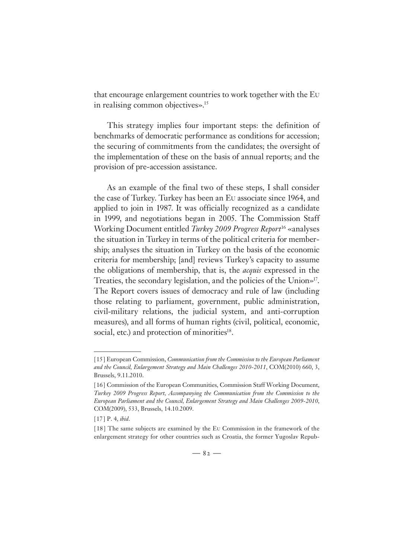that encourage enlargement countries to work together with the EU in realising common objectives».<sup>15</sup>

This strategy implies four important steps: the definition of benchmarks of democratic performance as conditions for accession; the securing of commitments from the candidates; the oversight of the implementation of these on the basis of annual reports; and the provision of pre-accession assistance.

As an example of the final two of these steps, I shall consider the case of Turkey. Turkey has been an EU associate since 1964, and applied to join in 1987. It was officially recognized as a candidate in 1999, and negotiations began in 2005. The Commission Staff Working Document entitled *Turkey 2009 Progress Report*16 «analyses the situation in Turkey in terms of the political criteria for membership; analyses the situation in Turkey on the basis of the economic criteria for membership; [and] reviews Turkey's capacity to assume the obligations of membership, that is, the *acquis* expressed in the Treaties, the secondary legislation, and the policies of the Union»17. The Report covers issues of democracy and rule of law (including those relating to parliament, government, public administration, civil-military relations, the judicial system, and anti-corruption measures), and all forms of human rights (civil, political, economic, social, etc.) and protection of minorities<sup>18</sup>.

<sup>[ 15 ]</sup> European Commission, *Communication from the Commission to the European Parliament and the Council, Enlargement Strategy and Main Challenges 2010-2011*, COM(2010) 660, 3, Brussels, 9.11.2010.

<sup>[ 16 ]</sup> Commission of the European Communities, Commission Staff Working Document, *Turkey 2009 Progress Report, Accompanying the Communication from the Commission to the European Parliament and the Council, Enlargement Strategy and Main Challenges 2009-2010*, COM(2009), 533, Brussels, 14.10.2009.

<sup>[ 17 ]</sup> P. 4, *ibid*.

<sup>[18]</sup> The same subjects are examined by the EU Commission in the framework of the enlargement strategy for other countries such as Croatia, the former Yugoslav Repub-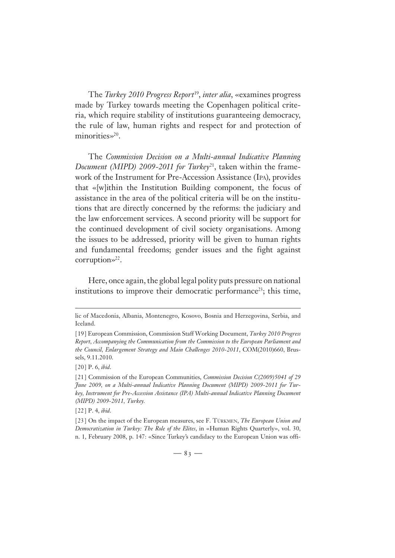The *Turkey 2010 Progress Report*19, *inter alia*, «examines progress made by Turkey towards meeting the Copenhagen political criteria, which require stability of institutions guaranteeing democracy, the rule of law, human rights and respect for and protection of minorities»<sup>20</sup>.

The *Commission Decision on a Multi-annual Indicative Planning Document (MIPD) 2009-2011 for Turkey*<sup>21</sup>, taken within the framework of the Instrument for Pre-Accession Assistance (IPA), provides that «[w]ithin the Institution Building component, the focus of assistance in the area of the political criteria will be on the institutions that are directly concerned by the reforms: the judiciary and the law enforcement services. A second priority will be support for the continued development of civil society organisations. Among the issues to be addressed, priority will be given to human rights and fundamental freedoms; gender issues and the fight against corruption»<sup>22</sup>.

Here, once again, the global legal polity puts pressure on national institutions to improve their democratic performance<sup>23</sup>; this time,

lic of Macedonia, Albania, Montenegro, Kosovo, Bosnia and Herzegovina, Serbia, and Iceland.

<sup>[ 19 ]</sup> European Commission, Commission Staff Working Document, *Turkey 2010 Progress Report, Accompanying the Communication from the Commission to the European Parliament and the Council, Enlargement Strategy and Main Challenges 2010-2011*, COM(2010)660, Brussels, 9.11.2010.

<sup>[ 20 ]</sup> P. 6, *ibid*.

<sup>[ 21 ]</sup> Commission of the European Communities, *Commission Decision C(2009)5041 of 29 June 2009, on a Multi-annual Indicative Planning Document (MIPD) 2009-2011 for Turkey, Instrument for Pre-Accession Assistance (IPA) Multi-annual Indicative Planning Document (MIPD) 2009-2011, Turkey.*

<sup>[ 22 ]</sup> P. 4, *ibid*.

<sup>[ 23 ]</sup> On the impact of the European measures, see F. TÜRKMEN, *The European Union and Democratization in Turkey: The Role of the Elites*, in «Human Rights Quarterly», vol. 30, n. 1, February 2008, p. 147: «Since Turkey's candidacy to the European Union was offi-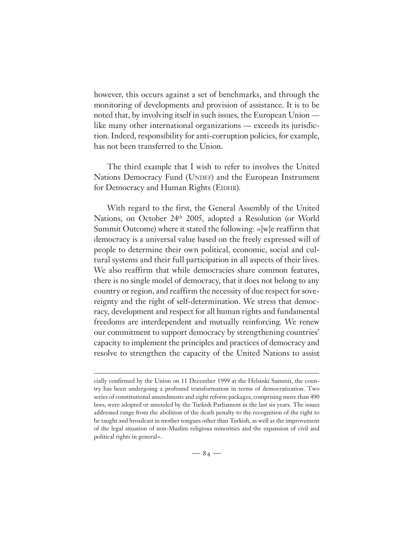however, this occurs against a set of benchmarks, and through the monitoring of developments and provision of assistance. It is to be noted that, by involving itself in such issues, the European Union like many other international organizations — exceeds its jurisdiction. Indeed, responsibility for anti-corruption policies, for example, has not been transferred to the Union.

The third example that I wish to refer to involves the United Nations Democracy Fund (UNDEF) and the European Instrument for Democracy and Human Rights (EIDHR).

With regard to the first, the General Assembly of the United Nations, on October 24th 2005, adopted a Resolution (or World Summit Outcome) where it stated the following: «[w]e reaffirm that democracy is a universal value based on the freely expressed will of people to determine their own political, economic, social and cultural systems and their full participation in all aspects of their lives. We also reaffirm that while democracies share common features, there is no single model of democracy, that it does not belong to any country or region, and reaffirm the necessity of due respect for sovereignty and the right of self-determination. We stress that democracy, development and respect for all human rights and fundamental freedoms are interdependent and mutually reinforcing. We renew our commitment to support democracy by strengthening countries' capacity to implement the principles and practices of democracy and resolve to strengthen the capacity of the United Nations to assist

cially confirmed by the Union on 11 December 1999 at the Helsinki Summit, the country has been undergoing a profound transformation in terms of democratization. Two series of constitutional amendments and eight reform packages, comprising more than 490 laws, were adopted or amended by the Turkish Parliament in the last six years. The issues addressed range from the abolition of the death penalty to the recognition of the right to be taught and broadcast in mother tongues other than Turkish, as well as the improvement of the legal situation of non-Muslim religious minorities and the expansion of civil and political rights in general».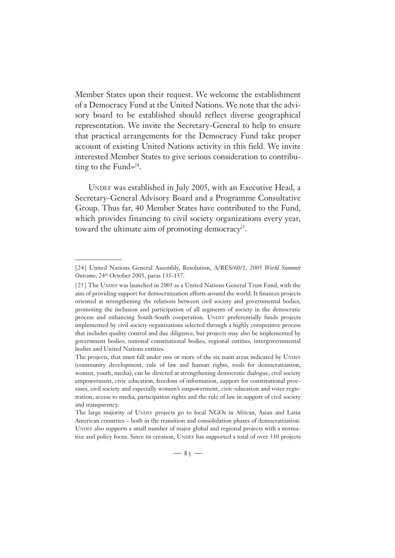Member States upon their request. We welcome the establishment of a Democracy Fund at the United Nations. We note that the advisory board to be established should reflect diverse geographical representation. We invite the Secretary-General to help to ensure that practical arrangements for the Democracy Fund take proper account of existing United Nations activity in this field. We invite interested Member States to give serious consideration to contributing to the Fund $\gg^{24}$ .

UNDEF was established in July 2005, with an Executive Head, a Secretary-General Advisory Board and a Programme Consultative Group. Thus far, 40 Member States have contributed to the Fund, which provides financing to civil society organizations every year, toward the ultimate aim of promoting democracy<sup>25</sup>.

<sup>[ 24 ]</sup> United Nations General Assembly, Resolution, A/RES/60/1, *2005 World Summit Outcome*, 24th October 2005, paras 135-137.

<sup>[ 25 ]</sup> The UNDEF was launched in 2005 as a United Nations General Trust Fund, with the aim of providing support for democratization efforts around the world. It finances projects oriented at strengthening the relations between civil society and governmental bodies, promoting the inclusion and participation of all segments of society in the democratic process and enhancing South-South cooperation. UNDEF preferentially funds projects implemented by civil society organizations selected through a highly competitive process that includes quality control and due diligence, but projects may also be implemented by government bodies, national constitutional bodies, regional entities, intergovernmental bodies and United Nations entities.

The projects, that must fall under one or more of the six main areas indicated by UNDEF (community development, rule of law and human rights, tools for democratization, women, youth, media), can be directed at strengthening democratic dialogue, civil society empowerment, civic education, freedom of information, support for constitutional processes, civil society and especially women's empowerment, civic education and voter registration, access to media, participation rights and the rule of law in support of civil society and transparency.

The large majority of UNDEF projects go to local NGOs in African, Asian and Latin American countries – both in the transition and consolidation phases of democratization. UNDEF also supports a small number of major global and regional projects with a normative and policy focus. Since its creation, UNDEF has supported a total of over 330 projects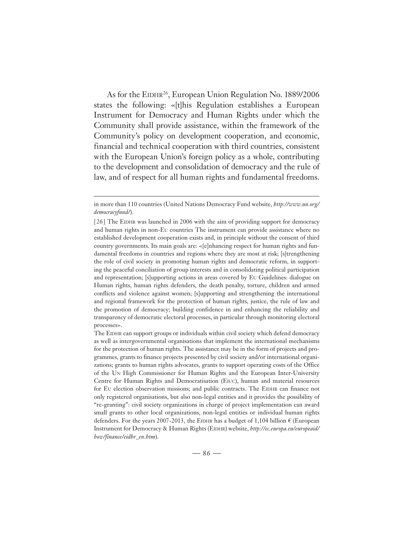As for the EIDHR<sup>26</sup>, European Union Regulation No. 1889/2006 states the following: «[t]his Regulation establishes a European Instrument for Democracy and Human Rights under which the Community shall provide assistance, within the framework of the Community's policy on development cooperation, and economic, financial and technical cooperation with third countries, consistent with the European Union's foreign policy as a whole, contributing to the development and consolidation of democracy and the rule of law, and of respect for all human rights and fundamental freedoms.

in more than 110 countries (United Nations Democracy Fund website, *http://www.un.org/ democracyfund/*).

<sup>[26]</sup> The EIDHR was launched in 2006 with the aim of providing support for democracy and human rights in non-EU countries The instrument can provide assistance where no established development cooperation exists and, in principle without the consent of third country governments. Its main goals are: «[e]nhancing respect for human rights and fundamental freedoms in countries and regions where they are most at risk; [s]trengthening the role of civil society in promoting human rights and democratic reform, in supporting the peaceful conciliation of group interests and in consolidating political participation and representation; [s]upporting actions in areas covered by EU Guidelines: dialogue on Human rights, human rights defenders, the death penalty, torture, children and armed conflicts and violence against women; [s]upporting and strengthening the international and regional framework for the protection of human rights, justice, the rule of law and the promotion of democracy; building confidence in and enhancing the reliability and transparency of democratic electoral processes, in particular through monitoring electoral processes».

The EIDHR can support groups or individuals within civil society which defend democracy as well as intergovernmental organisations that implement the international mechanisms for the protection of human rights. The assistance may be in the form of projects and programmes, grants to finance projects presented by civil society and/or international organizations; grants to human rights advocates, grants to support operating costs of the Office of the UN High Commissioner for Human Rights and the European Inter-University Centre for Human Rights and Democratisation (EIUC), human and material resources for EU election observation missions; and public contracts. The EIDHR can finance not only registered organisations, but also non-legal entities and it provides the possibility of "re-granting": civil society organizations in charge of project implementation can award small grants to other local organizations, non-legal entities or individual human rights defenders. For the years 2007-2013, the EIDHR has a budget of 1,104 billion  $\epsilon$  (European Instrument for Democracy & Human Rights (EIDHR) website, *http://ec.europa.eu/europeaid/ how/finance/eidhr\_en.htm*).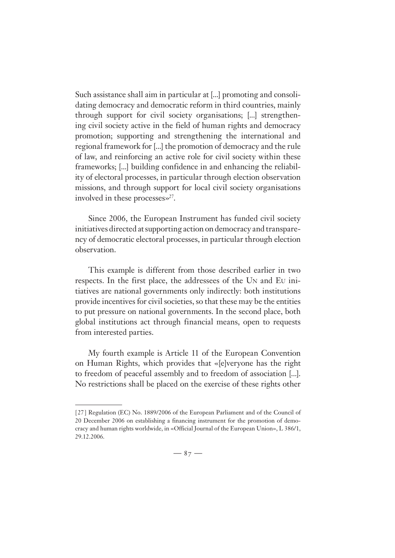Such assistance shall aim in particular at [...] promoting and consolidating democracy and democratic reform in third countries, mainly through support for civil society organisations; [...] strengthening civil society active in the field of human rights and democracy promotion; supporting and strengthening the international and regional framework for [...] the promotion of democracy and the rule of law, and reinforcing an active role for civil society within these frameworks; [...] building confidence in and enhancing the reliability of electoral processes, in particular through election observation missions, and through support for local civil society organisations involved in these processes $\gg$ <sup>27</sup>.

Since 2006, the European Instrument has funded civil society initiatives directed at supporting action on democracy and transparency of democratic electoral processes, in particular through election observation.

This example is different from those described earlier in two respects. In the first place, the addressees of the UN and EU initiatives are national governments only indirectly: both institutions provide incentives for civil societies, so that these may be the entities to put pressure on national governments. In the second place, both global institutions act through financial means, open to requests from interested parties.

My fourth example is Article 11 of the European Convention on Human Rights, which provides that «[e]veryone has the right to freedom of peaceful assembly and to freedom of association [...]. No restrictions shall be placed on the exercise of these rights other

<sup>[ 27 ]</sup> Regulation (EC) No. 1889/2006 of the European Parliament and of the Council of 20 December 2006 on establishing a financing instrument for the promotion of democracy and human rights worldwide, in «Official Journal of the European Union», L 386/1, 29.12.2006.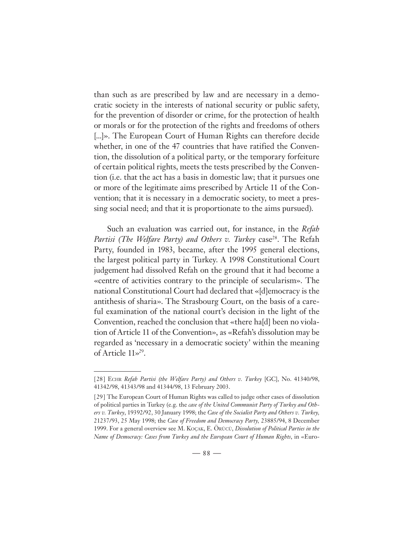than such as are prescribed by law and are necessary in a democratic society in the interests of national security or public safety, for the prevention of disorder or crime, for the protection of health or morals or for the protection of the rights and freedoms of others [...]». The European Court of Human Rights can therefore decide whether, in one of the 47 countries that have ratified the Convention, the dissolution of a political party, or the temporary forfeiture of certain political rights, meets the tests prescribed by the Convention (i.e. that the act has a basis in domestic law; that it pursues one or more of the legitimate aims prescribed by Article 11 of the Convention; that it is necessary in a democratic society, to meet a pressing social need; and that it is proportionate to the aims pursued).

Such an evaluation was carried out, for instance, in the *Refah Partisi (The Welfare Party) and Others v. Turkey* case<sup>28</sup>. The Refah Party, founded in 1983, became, after the 1995 general elections, the largest political party in Turkey. A 1998 Constitutional Court judgement had dissolved Refah on the ground that it had become a «centre of activities contrary to the principle of secularism». The national Constitutional Court had declared that «[d]emocracy is the antithesis of sharia». The Strasbourg Court, on the basis of a careful examination of the national court's decision in the light of the Convention, reached the conclusion that «there ha[d] been no violation of Article 11 of the Convention», as «Refah's dissolution may be regarded as 'necessary in a democratic society' within the meaning of Article 11»29.

<sup>[ 28 ]</sup> ECHR *Refah Partisi (the Welfare Party) and Others v. Turkey* [GC], No. 41340/98, 41342/98, 41343/98 and 41344/98, 13 February 2003.

<sup>[ 29 ]</sup> The European Court of Human Rights was called to judge other cases of dissolution of political parties in Turkey (e.g. the *case of the United Communist Party of Turkey and Others v. Turkey*, 19392/92, 30 January 1998; the *Case of the Socialist Party and Others v. Turkey,*  21237/93, 25 May 1998; the *Case of Freedom and Democracy Party,* 23885/94, 8 December 1999. For a general overview see M. KOÇAK, E. ÖRÜCÜ, *Dissolution of Political Parties in the Name of Democracy: Cases from Turkey and the European Court of Human Rights*, in «Euro-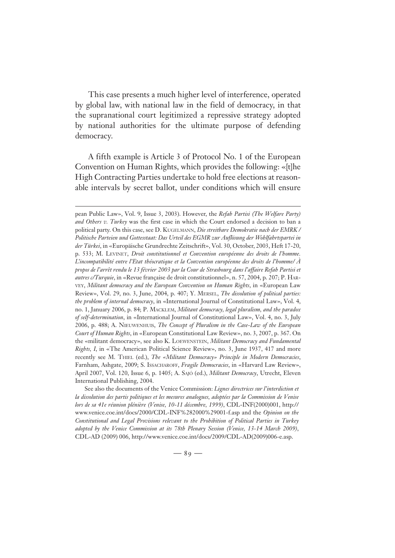This case presents a much higher level of interference, operated by global law, with national law in the field of democracy, in that the supranational court legitimized a repressive strategy adopted by national authorities for the ultimate purpose of defending democracy.

A fifth example is Article 3 of Protocol No. 1 of the European Convention on Human Rights, which provides the following: «[t]he High Contracting Parties undertake to hold free elections at reasonable intervals by secret ballot, under conditions which will ensure

See also the documents of the Venice Commission: *Lignes directrices sur l'interdiction et la dissolution des partis politiques et les mesures analogues, adoptées par la Commission de Venise lors de sa 41e réunion plénière (Venise, 10-11 décembre, 1999)*, CDL-INF(2000)001, http:// www.venice.coe.int/docs/2000/CDL-INF%282000%29001-f.asp and the *Opinion on the Constitutional and Legal Provisions relevant to the Prohibition of Political Parties in Turkey adopted by the Venice Commission at its 78th Plenary Session (Venice, 13-14 March 2009)*, CDL-AD (2009) 006, http://www.venice.coe.int/docs/2009/CDL-AD(2009)006-e.asp.

pean Public Law», Vol. 9, Issue 3, 2003). However, the *Refah Partisi (The Welfare Party) and Others v. Turkey* was the first case in which the Court endorsed a decision to ban a political party. On this case, see D. KUGELMANN, *Die streitbare Demokratie nach der EMRK / Politische Parteien und Gottesstaat: Das Urteil des EGMR zur Auflösung der Wohlfahrtspartei in der Türkei*, in «Europäische Grundrechte Zeitschrift», Vol. 30, October, 2003, Heft 17-20, p. 533; M. LEVINET, *Droit constitutionnel et Convention européenne des droits de l'homme. L'incompatibilité entre l'Etat théocratique et la Convention européenne des droits de l'homme/ À propos de l'arrêt rendu le 13 février 2003 par la Cour de Strasbourg dans l'affaire Refah Partisi et autres c/Turquie*, in «Revue française de droit constitutionnel», n. 57, 2004, p. 207; P. HAR-VEY, *Militant democracy and the European Convention on Human Rights*, in «European Law Review», Vol. 29, no. 3, June, 2004, p. 407; Y. MERSEL, *The dissolution of political parties: the problem of internal democracy*, in «International Journal of Constitutional Law», Vol. 4, no. 1, January 2006, p. 84; P. MACKLEM, *Militant democracy, legal pluralism, and the paradox of self-determination*, in «International Journal of Constitutional Law», Vol. 4, no. 3, July 2006, p. 488; A. NIEUWENHUIS, *The Concept of Pluralism in the Case-Law of the European Court of Human Rights*, in «European Constitutional Law Review», no. 3, 2007, p. 367. On the «militant democracy», see also K. LOEWENSTEIN, *Militant Democracy and Fundamental Rights, I*, in «The American Political Science Review», no. 3, June 1937, 417 and more recently see M. THIEL (ed.), *The «Militant Democracy» Principle in Modern Democracies*, Farnham, Ashgate, 2009; S. ISSACHAROFF, *Fragile Democracies*, in «Harvard Law Review», April 2007, Vol. 120, Issue 6, p. 1405; A. SAJÓ (ed.), *Militant Democracy*, Utrecht, Eleven International Publishing, 2004.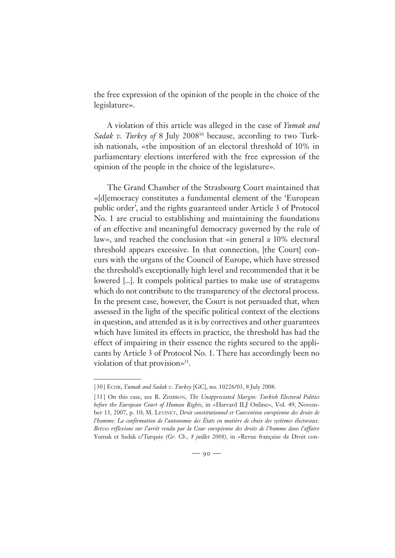the free expression of the opinion of the people in the choice of the legislature».

A violation of this article was alleged in the case of *Yumak and Sadak v. Turkey of* 8 July 200830 because, according to two Turkish nationals, «the imposition of an electoral threshold of 10% in parliamentary elections interfered with the free expression of the opinion of the people in the choice of the legislature».

The Grand Chamber of the Strasbourg Court maintained that «[d]emocracy constitutes a fundamental element of the 'European public order', and the rights guaranteed under Article 3 of Protocol No. 1 are crucial to establishing and maintaining the foundations of an effective and meaningful democracy governed by the rule of law», and reached the conclusion that «in general a 10% electoral threshold appears excessive. In that connection, [the Court] concurs with the organs of the Council of Europe, which have stressed the threshold's exceptionally high level and recommended that it be lowered [...]. It compels political parties to make use of stratagems which do not contribute to the transparency of the electoral process. In the present case, however, the Court is not persuaded that, when assessed in the light of the specific political context of the elections in question, and attended as it is by correctives and other guarantees which have limited its effects in practice, the threshold has had the effect of impairing in their essence the rights secured to the applicants by Article 3 of Protocol No. 1. There has accordingly been no violation of that provision»<sup>31</sup>.

<sup>[ 30 ]</sup> ECHR, *Yumak and Sadak v. Turkey* [GC], no. 10226/03, 8 July 2008.

<sup>[ 31 ]</sup> On this case, see R. ZIMBRON, *The Unappreciated Margin: Turkish Electoral Politics before the European Court of Human Rights*, in «Harvard ILJ Online», Vol. 49, November 13, 2007, p. 10; M. LEVINET, *Droit constitutionnel et Convention européenne des droits de l'homme: La confirmation de l'autonomie des États en matière de choix des systèmes électoraux. Brèves réflexions sur l'arrêt rendu par la Cour européenne des droits de l'homme dans l'affaire* Yumak et Sadak c/Turquie *(Gr. Ch., 8 juillet 2008)*, in «Revue française de Droit con-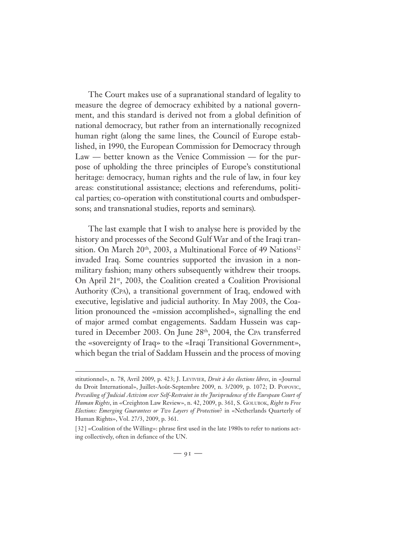The Court makes use of a supranational standard of legality to measure the degree of democracy exhibited by a national government, and this standard is derived not from a global definition of national democracy, but rather from an internationally recognized human right (along the same lines, the Council of Europe established, in 1990, the European Commission for Democracy through Law — better known as the Venice Commission — for the purpose of upholding the three principles of Europe's constitutional heritage: democracy, human rights and the rule of law, in four key areas: constitutional assistance; elections and referendums, political parties; co-operation with constitutional courts and ombudspersons; and transnational studies, reports and seminars).

The last example that I wish to analyse here is provided by the history and processes of the Second Gulf War and of the Iraqi transition. On March 20<sup>th</sup>, 2003, a Multinational Force of 49 Nations<sup>32</sup> invaded Iraq. Some countries supported the invasion in a nonmilitary fashion; many others subsequently withdrew their troops. On April 21st, 2003, the Coalition created a Coalition Provisional Authority (CPA), a transitional government of Iraq, endowed with executive, legislative and judicial authority. In May 2003, the Coalition pronounced the «mission accomplished», signalling the end of major armed combat engagements. Saddam Hussein was captured in December 2003. On June 28<sup>th</sup>, 2004, the CPA transferred the «sovereignty of Iraq» to the «Iraqi Transitional Government», which began the trial of Saddam Hussein and the process of moving

stitutionnel», n. 78, Avril 2009, p. 423; J. LEVIVIER, *Droit à des élections libres*, in «Journal du Droit International», Juillet-Août-Septembre 2009, n. 3/2009, p. 1072; D. POPOVIC, *Prevailing of Judicial Activism over Self-Restraint in the Jurisprudence of the European Court of Human Rights*, in «Creighton Law Review», n. 42, 2009, p. 361, S. GOLUBOK, *Right to Free Elections: Emerging Guarantees or Two Layers of Protection*? in «Netherlands Quarterly of Human Rights», Vol. 27/3, 2009, p. 361.

<sup>[32] «</sup>Coalition of the Willing»: phrase first used in the late 1980s to refer to nations acting collectively, often in defiance of the UN.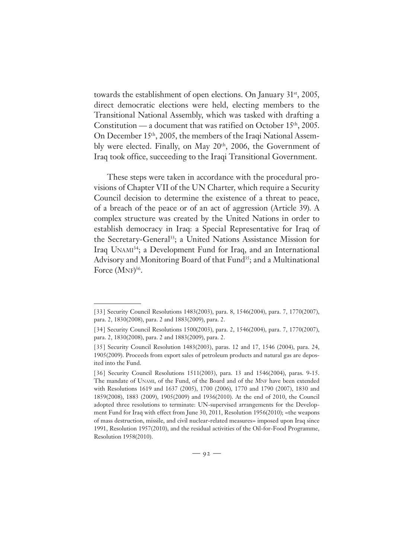towards the establishment of open elections. On January 31<sup>st</sup>, 2005, direct democratic elections were held, electing members to the Transitional National Assembly, which was tasked with drafting a Constitution — a document that was ratified on October 15<sup>th</sup>, 2005. On December 15th, 2005, the members of the Iraqi National Assembly were elected. Finally, on May 20<sup>th</sup>, 2006, the Government of Iraq took office, succeeding to the Iraqi Transitional Government.

These steps were taken in accordance with the procedural provisions of Chapter VII of the UN Charter, which require a Security Council decision to determine the existence of a threat to peace, of a breach of the peace or of an act of aggression (Article 39). A complex structure was created by the United Nations in order to establish democracy in Iraq: a Special Representative for Iraq of the Secretary-General<sup>33</sup>; a United Nations Assistance Mission for Iraq UNAMI<sup>34</sup>; a Development Fund for Iraq, and an International Advisory and Monitoring Board of that Fund<sup>35</sup>; and a Multinational Force (MNF)<sup>36</sup>.

<sup>[ 33 ]</sup> Security Council Resolutions 1483(2003), para. 8, 1546(2004), para. 7, 1770(2007), para. 2, 1830(2008), para. 2 and 1883(2009), para. 2.

<sup>[ 34]</sup> Security Council Resolutions 1500(2003), para. 2, 1546(2004), para. 7, 1770(2007), para. 2, 1830(2008), para. 2 and 1883(2009), para. 2.

<sup>[ 35 ]</sup> Security Council Resolution 1483(2003), paras. 12 and 17, 1546 (2004), para. 24, 1905(2009). Proceeds from export sales of petroleum products and natural gas are deposited into the Fund.

<sup>[36]</sup> Security Council Resolutions 1511(2003), para. 13 and 1546(2004), paras. 9-15. The mandate of UNAMI, of the Fund, of the Board and of the MNF have been extended with Resolutions 1619 and 1637 (2005), 1700 (2006), 1770 and 1790 (2007), 1830 and 1859(2008), 1883 (2009), 1905(2009) and 1936(2010). At the end of 2010, the Council adopted three resolutions to terminate: UN-supervised arrangements for the Development Fund for Iraq with effect from June 30, 2011, Resolution 1956(2010); «the weapons of mass destruction, missile, and civil nuclear-related measures» imposed upon Iraq since 1991, Resolution 1957(2010), and the residual activities of the Oil-for-Food Programme, Resolution 1958(2010).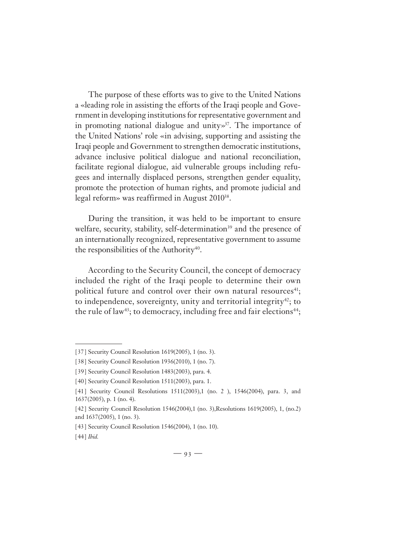The purpose of these efforts was to give to the United Nations a «leading role in assisting the efforts of the Iraqi people and Government in developing institutions for representative government and in promoting national dialogue and unity»<sup>37</sup>. The importance of the United Nations' role «in advising, supporting and assisting the Iraqi people and Government to strengthen democratic institutions, advance inclusive political dialogue and national reconciliation, facilitate regional dialogue, aid vulnerable groups including refugees and internally displaced persons, strengthen gender equality, promote the protection of human rights, and promote judicial and legal reform» was reaffirmed in August 2010<sup>38</sup>.

During the transition, it was held to be important to ensure welfare, security, stability, self-determination<sup>39</sup> and the presence of an internationally recognized, representative government to assume the responsibilities of the Authority $40$ .

According to the Security Council, the concept of democracy included the right of the Iraqi people to determine their own political future and control over their own natural resources<sup>41</sup>; to independence, sovereignty, unity and territorial integrity<sup>42</sup>; to the rule of law<sup>43</sup>; to democracy, including free and fair elections<sup>44</sup>;

<sup>[ 37 ]</sup> Security Council Resolution 1619(2005), 1 (no. 3).

<sup>[ 38]</sup> Security Council Resolution 1936(2010), 1 (no. 7).

<sup>[39]</sup> Security Council Resolution 1483(2003), para. 4.

<sup>[40]</sup> Security Council Resolution 1511(2003), para. 1.

<sup>[41]</sup> Security Council Resolutions 1511(2003),1 (no. 2), 1546(2004), para. 3, and 1637(2005), p. 1 (no. 4).

<sup>[ 42 ]</sup> Security Council Resolution 1546(2004),1 (no. 3),Resolutions 1619(2005), 1, (no.2) and 1637(2005), 1 (no. 3).

<sup>[43]</sup> Security Council Resolution 1546(2004), 1 (no. 10).

<sup>[44]</sup> *Ibid.*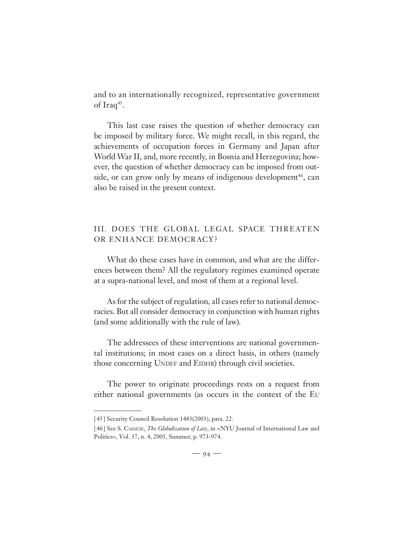and to an internationally recognized, representative government of Iraq<sup>45</sup>.

This last case raises the question of whether democracy can be imposed by military force. We might recall, in this regard, the achievements of occupation forces in Germany and Japan after World War II, and, more recently, in Bosnia and Herzegovina; however, the question of whether democracy can be imposed from outside, or can grow only by means of indigenous development<sup>46</sup>, can also be raised in the present context.

## III. DOES THE GLOBAL LEGAL SPACE THREATEN OR ENHANCE DEMOCRACY?

What do these cases have in common, and what are the differences between them? All the regulatory regimes examined operate at a supra-national level, and most of them at a regional level.

As for the subject of regulation, all cases refer to national democracies. But all consider democracy in conjunction with human rights (and some additionally with the rule of law).

The addressees of these interventions are national governmental institutions; in most cases on a direct basis, in others (namely those concerning UNDEF and EIDHR) through civil societies.

The power to originate proceedings rests on a request from either national governments (as occurs in the context of the EU

<sup>[ 45 ]</sup> Security Council Resolution 1483(2003), para. 22.

<sup>[ 46 ]</sup> See S. CASSESE, *The Globalization of Law*, in «NYU Journal of International Law and Politics», Vol. 37, n. 4, 2005, Summer, p. 973-974.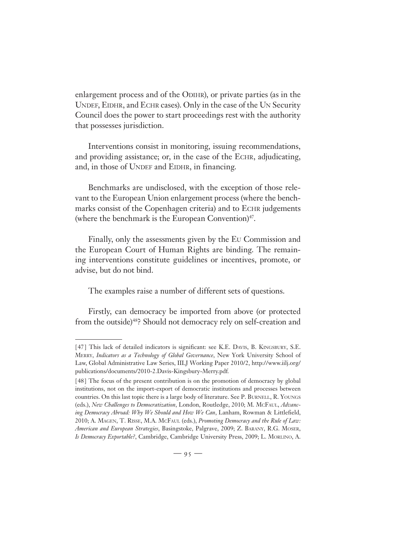enlargement process and of the ODIHR), or private parties (as in the UNDEF, EIDHR, and ECHR cases). Only in the case of the UN Security Council does the power to start proceedings rest with the authority that possesses jurisdiction.

Interventions consist in monitoring, issuing recommendations, and providing assistance; or, in the case of the ECHR, adjudicating, and, in those of UNDEF and EIDHR, in financing.

Benchmarks are undisclosed, with the exception of those relevant to the European Union enlargement process (where the benchmarks consist of the Copenhagen criteria) and to ECHR judgements (where the benchmark is the European Convention) $47$ .

Finally, only the assessments given by the EU Commission and the European Court of Human Rights are binding. The remaining interventions constitute guidelines or incentives, promote, or advise, but do not bind.

The examples raise a number of different sets of questions.

Firstly, can democracy be imported from above (or protected from the outside)<sup>48</sup>? Should not democracy rely on self-creation and

<sup>[47]</sup> This lack of detailed indicators is significant: see K.E. DAVIS, B. KINGSBURY, S.E. MERRY, *Indicators as a Technology of Global Governance*, New York University School of Law, Global Administrative Law Series, IILJ Working Paper 2010/2, http://www.iilj.org/ publications/documents/2010-2.Davis-Kingsbury-Merry.pdf*.*

<sup>[ 48 ]</sup> The focus of the present contribution is on the promotion of democracy by global institutions, not on the import-export of democratic institutions and processes between countries. On this last topic there is a large body of literature. See P. BURNELL, R. YOUNGS (eds.), *New Challenges to Democratization*, London, Routledge, 2010; M. MCFAUL, *Advancing Democracy Abroad: Why We Should and How We Can*, Lanham, Rowman & Littlefield, 2010; A. MAGEN, T. RISSE, M.A. MCFAUL (eds.), *Promoting Democracy and the Rule of Law: American and European Strategies*, Basingstoke, Palgrave, 2009; Z. BARANY, R.G. MOSER, *Is Democracy Exportable?*, Cambridge, Cambridge University Press, 2009; L. MORLINO, A.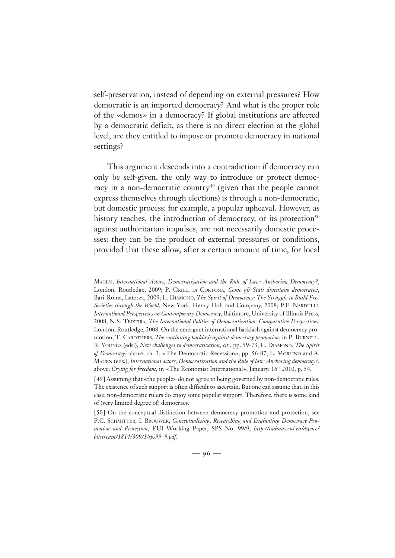self-preservation, instead of depending on external pressures? How democratic is an imported democracy? And what is the proper role of the «demos» in a democracy? If global institutions are affected by a democratic deficit, as there is no direct election at the global level, are they entitled to impose or promote democracy in national settings?

This argument descends into a contradiction: if democracy can only be self-given, the only way to introduce or protect democracy in a non-democratic country<sup>49</sup> (given that the people cannot express themselves through elections) is through a non-democratic, but domestic process: for example, a popular upheaval. However, as history teaches, the introduction of democracy, or its protection $50$ against authoritarian impulses, are not necessarily domestic processes: they can be the product of external pressures or conditions, provided that these allow, after a certain amount of time, for local

MAGEN, *International Actors, Democratization and the Rule of Law: Anchoring Democracy?*, London, Routledge, 2009; P. GRILLI DI CORTONA, *Come gli Stati diventano democratici*, Bari-Roma, Laterza, 2009; L. DIAMOND, *The Spirit of Democracy: The Struggle to Build Free Societies through the World*, New York, Henry Holt and Company, 2008; P.F. NARDULLI, *International Perspectives on Contemporary Democracy*, Baltimore, University of Illinois Press, 2008; N.S. TEIXEIRA, *The International Politics of Democratization: Comparative Perspectives*, London, Routledge, 2008. On the emergent international backlash against democracy promotion, T. CAROTHERS, *The continuing backlash against democracy promotion*, in P. BURNELL, R. YOUNGS (eds.), *New challenges to democratization*, *cit.*, pp. 59-73; L. DIAMOND, *The Spirit of Democracy*, above, ch. 3, «The Democratic Recession», pp. 56-87; L. MORLINO and A. MAGEN (eds.), *International actors, Democratization and the Rule of law: Anchoring democracy?*, above; *Crying for freedom*, in «The Economist International», January, 16th 2010, p. 54.

<sup>[ 49 ]</sup> Assuming that «the people» do not agree to being governed by non-democratic rules. The existence of such support is often difficult to ascertain. But one can assume that, in this case, non-democratic rulers do enjoy some popular support. Therefore, there is some kind of (very limited degree of) democracy.

<sup>[50]</sup> On the conceptual distinction between democracy promotion and protection, see P.C. SCHMITTER, I. BROUWER, *Conceptualizing*, *Researching and Evaluating Democracy Promotion and Protection*, EUI Working Paper, SPS No. 99/9, *http://cadmus.eui.eu/dspace/ bitstream/1814/309/1/sps99\_9.pdf*.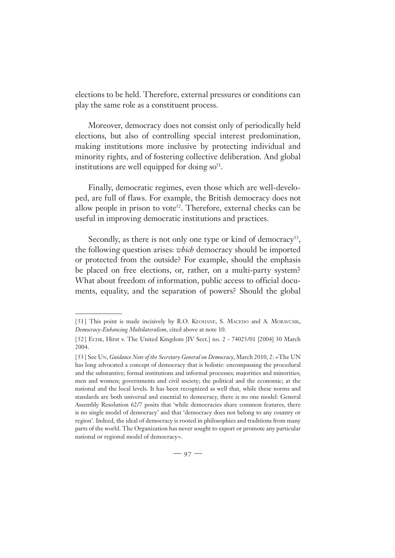elections to be held. Therefore, external pressures or conditions can play the same role as a constituent process.

Moreover, democracy does not consist only of periodically held elections, but also of controlling special interest predomination, making institutions more inclusive by protecting individual and minority rights, and of fostering collective deliberation. And global institutions are well equipped for doing  $so<sup>51</sup>$ .

Finally, democratic regimes, even those which are well-developed, are full of flaws. For example, the British democracy does not allow people in prison to vote<sup>52</sup>. Therefore, external checks can be useful in improving democratic institutions and practices.

Secondly, as there is not only one type or kind of democracy<sup>53</sup>, the following question arises: *which* democracy should be imported or protected from the outside? For example, should the emphasis be placed on free elections, or, rather, on a multi-party system? What about freedom of information, public access to official documents, equality, and the separation of powers? Should the global

<sup>[51]</sup> This point is made incisively by R.O. KEOHANE, S. MACEDO and A. MORAVCSIK, *Democracy-Enhancing Multilateralism*, cited above at note 10.

<sup>[ 52 ]</sup> ECHR, Hirst v. The United Kingdom [IV Sect.] no. 2 - 74025/01 [2004] 30 March 2004.

<sup>[ 53 ]</sup> See UN, *Guidance Note of the Secretary General on Democracy*, March 2010, 2: «The UN has long advocated a concept of democracy that is holistic: encompassing the procedural and the substantive; formal institutions and informal processes; majorities and minorities; men and women; governments and civil society; the political and the economic; at the national and the local levels. It has been recognized as well that, while these norms and standards are both universal and essential to democracy, there is no one model: General Assembly Resolution 62/7 posits that 'while democracies share common features, there is no single model of democracy' and that 'democracy does not belong to any country or region'. Indeed, the ideal of democracy is rooted in philosophies and traditions from many parts of the world. The Organization has never sought to export or promote any particular national or regional model of democracy».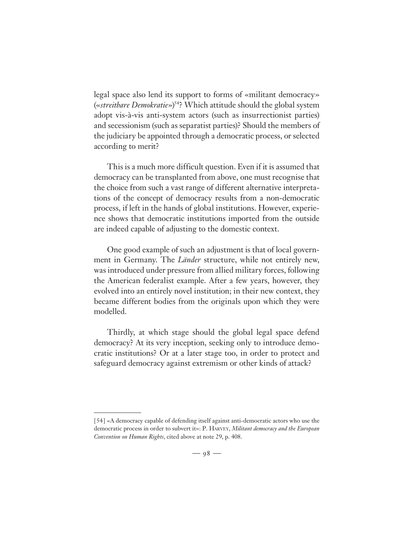legal space also lend its support to forms of «militant democracy» («*streitbare Demokratie*»)54? Which attitude should the global system adopt vis-à-vis anti-system actors (such as insurrectionist parties) and secessionism (such as separatist parties)? Should the members of the judiciary be appointed through a democratic process, or selected according to merit?

This is a much more difficult question. Even if it is assumed that democracy can be transplanted from above, one must recognise that the choice from such a vast range of different alternative interpretations of the concept of democracy results from a non-democratic process, if left in the hands of global institutions. However, experience shows that democratic institutions imported from the outside are indeed capable of adjusting to the domestic context.

One good example of such an adjustment is that of local government in Germany. The *Länder* structure, while not entirely new, was introduced under pressure from allied military forces, following the American federalist example. After a few years, however, they evolved into an entirely novel institution; in their new context, they became different bodies from the originals upon which they were modelled.

Thirdly, at which stage should the global legal space defend democracy? At its very inception, seeking only to introduce democratic institutions? Or at a later stage too, in order to protect and safeguard democracy against extremism or other kinds of attack?

<sup>[54] «</sup>A democracy capable of defending itself against anti-democratic actors who use the democratic process in order to subvert it»: P. HARVEY, *Militant democracy and the European Convention on Human Rights*, cited above at note 29, p. 408.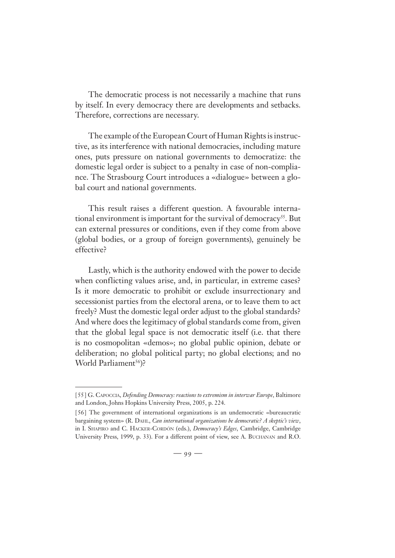The democratic process is not necessarily a machine that runs by itself. In every democracy there are developments and setbacks. Therefore, corrections are necessary.

The example of the European Court of Human Rights is instructive, as its interference with national democracies, including mature ones, puts pressure on national governments to democratize: the domestic legal order is subject to a penalty in case of non-compliance. The Strasbourg Court introduces a «dialogue» between a global court and national governments.

This result raises a different question. A favourable international environment is important for the survival of democracy<sup>55</sup>. But can external pressures or conditions, even if they come from above (global bodies, or a group of foreign governments), genuinely be effective?

Lastly, which is the authority endowed with the power to decide when conflicting values arise, and, in particular, in extreme cases? Is it more democratic to prohibit or exclude insurrectionary and secessionist parties from the electoral arena, or to leave them to act freely? Must the domestic legal order adjust to the global standards? And where does the legitimacy of global standards come from, given that the global legal space is not democratic itself (i.e. that there is no cosmopolitan «demos»; no global public opinion, debate or deliberation; no global political party; no global elections; and no World Parliament<sup>56</sup>)?

<sup>[ 55 ]</sup> G. CAPOCCIA, *Defending Democracy: reactions to extremism in interwar Europe*, Baltimore and London, Johns Hopkins University Press, 2005, p. 224.

<sup>[56]</sup> The government of international organizations is an undemocratic «bureaucratic bargaining system» (R. DAHL, *Can international organizations be democratic? A skeptic's view*, in I. SHAPIRO and C. HACKER-CORDÓN (eds.), *Democracy's Edges*, Cambridge, Cambridge University Press, 1999, p. 33). For a different point of view, see A. BUCHANAN and R.O.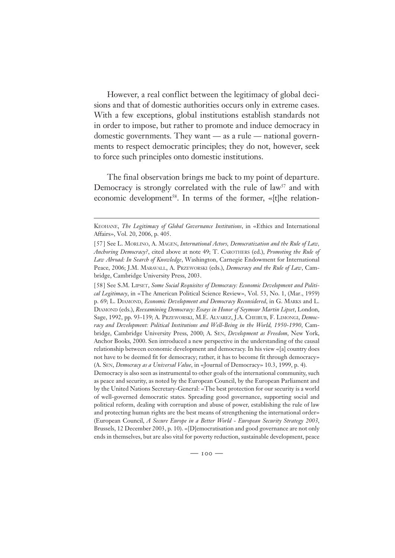However, a real conflict between the legitimacy of global decisions and that of domestic authorities occurs only in extreme cases. With a few exceptions, global institutions establish standards not in order to impose, but rather to promote and induce democracy in domestic governments. They want — as a rule — national governments to respect democratic principles; they do not, however, seek to force such principles onto domestic institutions.

The final observation brings me back to my point of departure. Democracy is strongly correlated with the rule of  $law<sup>57</sup>$  and with economic development<sup>58</sup>. In terms of the former, «[t]he relation-

[ 58 ] See S.M. LIPSET, *Some Social Requisites of Democracy: Economic Development and Political Legitimacy*, in «The American Political Science Review», Vol. 53, No. 1, (Mar., 1959) p. 69; L. DIAMOND, *Economic Development and Democracy Reconsidered*, in G. MARKS and L. DIAMOND (eds.), *Reexamining Democracy: Essays in Honor of Seymour Martin Lipset*, London, Sage, 1992, pp. 93-139; A. PRZEWORSKI, M.E. ALVAREZ, J.A. CHEIBUB, F. LIMONGI, *Democracy and Development: Political Institutions and Well-Being in the World, 1950-1990*, Cambridge, Cambridge University Press, 2000; A. SEN, *Development as Freedom*, New York, Anchor Books, 2000. Sen introduced a new perspective in the understanding of the causal relationship between economic development and democracy. In his view «[a] country does not have to be deemed fit for democracy; rather, it has to become fit through democracy» (A. SEN, *Democracy as a Universal Value*, in «Journal of Democracy» 10.3, 1999, p. 4).

Democracy is also seen as instrumental to other goals of the international community, such as peace and security, as noted by the European Council, by the European Parliament and by the United Nations Secretary-General: «The best protection for our security is a world of well-governed democratic states. Spreading good governance, supporting social and political reform, dealing with corruption and abuse of power, establishing the rule of law and protecting human rights are the best means of strengthening the international order» (European Council, *A Secure Europe in a Better World - European Security Strategy 2003*, Brussels, 12 December 2003, p. 10). «[D]emocratisation and good governance are not only ends in themselves, but are also vital for poverty reduction, sustainable development, peace

KEOHANE, *The Legitimacy of Global Governance Institutions*, in «Ethics and International Affairs», Vol. 20, 2006, p. 405.

<sup>[ 57 ]</sup> See L. MORLINO, A. MAGEN, *International Actors, Democratization and the Rule of Law, Anchoring Democracy?*, cited above at note 49; T. CAROTHERS (ed.), *Promoting the Rule of Law Abroad: In Search of Knowledge*, Washington, Carnegie Endowment for International Peace, 2006; J.M. MARAVALL, A. PRZEWORSKI (eds.), *Democracy and the Rule of Law*, Cambridge, Cambridge University Press, 2003.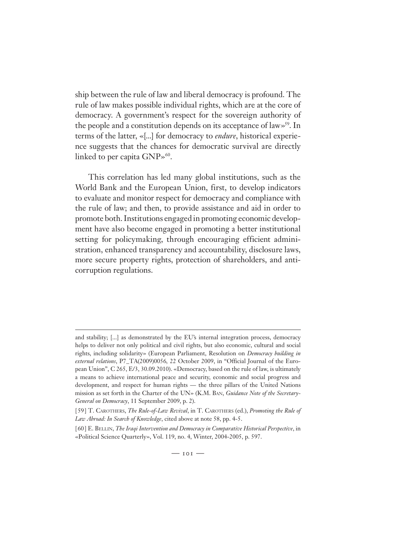ship between the rule of law and liberal democracy is profound. The rule of law makes possible individual rights, which are at the core of democracy. A government's respect for the sovereign authority of the people and a constitution depends on its acceptance of law»59. In terms of the latter, «[...] for democracy to *endure*, historical experience suggests that the chances for democratic survival are directly linked to per capita  $GNP*^{60}$ .

This correlation has led many global institutions, such as the World Bank and the European Union, first, to develop indicators to evaluate and monitor respect for democracy and compliance with the rule of law; and then, to provide assistance and aid in order to promote both. Institutions engaged in promoting economic development have also become engaged in promoting a better institutional setting for policymaking, through encouraging efficient administration, enhanced transparency and accountability, disclosure laws, more secure property rights, protection of shareholders, and anticorruption regulations.

and stability; [...] as demonstrated by the EU's internal integration process, democracy helps to deliver not only political and civil rights, but also economic, cultural and social rights, including solidarity» (European Parliament, Resolution on *Democracy building in external relations*, P7\_TA(2009)0056*,* 22 October 2009, in "Official Journal of the European Union", C 265, E/3, 30.09.2010). «Democracy, based on the rule of law, is ultimately a means to achieve international peace and security, economic and social progress and development, and respect for human rights — the three pillars of the United Nations mission as set forth in the Charter of the UN» (K.M. BAN, *Guidance Note of the Secretary-General on Democracy*, 11 September 2009, p. 2).

<sup>[ 59 ]</sup> T. CAROTHERS, *The Rule-of-Law Revival*, in T. CAROTHERS (ed.), *Promoting the Rule of Law Abroad: In Search of Knowledge*, cited above at note 58, pp. 4-5.

<sup>[ 60 ]</sup> E. BELLIN, *The Iraqi Intervention and Democracy in Comparative Historical Perspective*, in «Political Science Quarterly», Vol. 119, no. 4, Winter, 2004-2005, p. 597.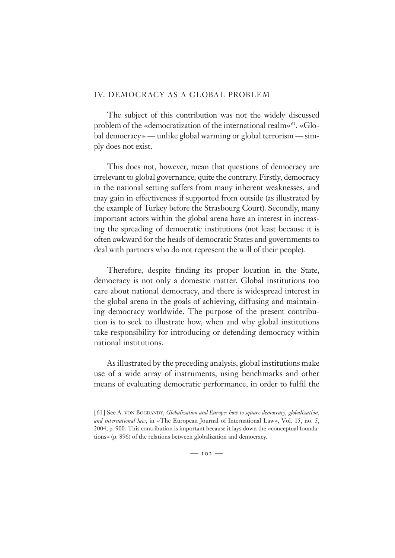#### IV. DEMOCRACY AS A GLOBAL PROBLEM

The subject of this contribution was not the widely discussed problem of the «democratization of the international realm»<sup>61</sup>. «Global democracy» — unlike global warming or global terrorism — simply does not exist.

This does not, however, mean that questions of democracy are irrelevant to global governance; quite the contrary. Firstly, democracy in the national setting suffers from many inherent weaknesses, and may gain in effectiveness if supported from outside (as illustrated by the example of Turkey before the Strasbourg Court). Secondly, many important actors within the global arena have an interest in increasing the spreading of democratic institutions (not least because it is often awkward for the heads of democratic States and governments to deal with partners who do not represent the will of their people).

Therefore, despite finding its proper location in the State, democracy is not only a domestic matter. Global institutions too care about national democracy, and there is widespread interest in the global arena in the goals of achieving, diffusing and maintaining democracy worldwide. The purpose of the present contribution is to seek to illustrate how, when and why global institutions take responsibility for introducing or defending democracy within national institutions.

As illustrated by the preceding analysis, global institutions make use of a wide array of instruments, using benchmarks and other means of evaluating democratic performance, in order to fulfil the

<sup>[ 61 ]</sup> See A. VON BOGDANDY, *Globalization and Europe: how to square democracy, globalization, and international law*, in «The European Journal of International Law», Vol. 15, no. 5, 2004, p. 900. This contribution is important because it lays down the «conceptual foundations» (p. 896) of the relations between globalization and democracy.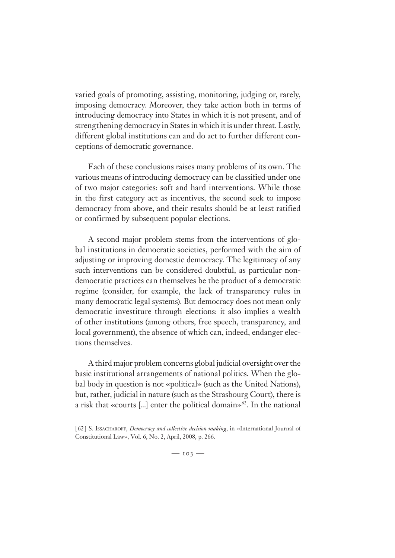varied goals of promoting, assisting, monitoring, judging or, rarely, imposing democracy. Moreover, they take action both in terms of introducing democracy into States in which it is not present, and of strengthening democracy in States in which it is under threat. Lastly, different global institutions can and do act to further different conceptions of democratic governance.

Each of these conclusions raises many problems of its own. The various means of introducing democracy can be classified under one of two major categories: soft and hard interventions. While those in the first category act as incentives, the second seek to impose democracy from above, and their results should be at least ratified or confirmed by subsequent popular elections.

A second major problem stems from the interventions of global institutions in democratic societies, performed with the aim of adjusting or improving domestic democracy. The legitimacy of any such interventions can be considered doubtful, as particular nondemocratic practices can themselves be the product of a democratic regime (consider, for example, the lack of transparency rules in many democratic legal systems). But democracy does not mean only democratic investiture through elections: it also implies a wealth of other institutions (among others, free speech, transparency, and local government), the absence of which can, indeed, endanger elections themselves.

A third major problem concerns global judicial oversight over the basic institutional arrangements of national politics. When the global body in question is not «political» (such as the United Nations), but, rather, judicial in nature (such as the Strasbourg Court), there is a risk that «courts [...] enter the political domain» $62$ . In the national

<sup>[ 62 ]</sup> S. ISSACHAROFF, *Democracy and collective decision making*, in «International Journal of Constitutional Law», Vol. 6, No. 2, April, 2008, p. 266.